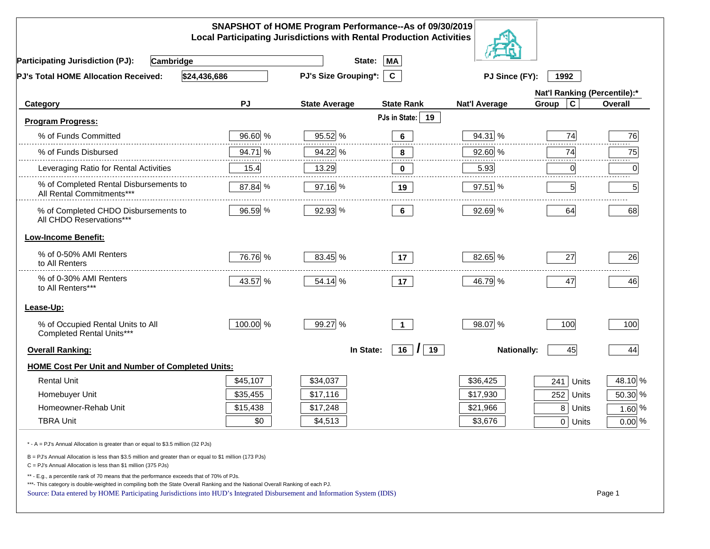|                                                                                                                                                                                                                                                                                                                                                          |           | SNAPSHOT of HOME Program Performance--As of 09/30/2019<br><b>Local Participating Jurisdictions with Rental Production Activities</b> |                                     |                      |                              |          |
|----------------------------------------------------------------------------------------------------------------------------------------------------------------------------------------------------------------------------------------------------------------------------------------------------------------------------------------------------------|-----------|--------------------------------------------------------------------------------------------------------------------------------------|-------------------------------------|----------------------|------------------------------|----------|
| <b>Participating Jurisdiction (PJ):</b><br>Cambridge                                                                                                                                                                                                                                                                                                     |           | State:                                                                                                                               | <b>MA</b>                           |                      |                              |          |
| \$24,436,686<br>PJ's Total HOME Allocation Received:                                                                                                                                                                                                                                                                                                     |           | <b>PJ's Size Grouping*:</b>                                                                                                          | $\mathbf{c}$                        | PJ Since (FY):       | 1992                         |          |
|                                                                                                                                                                                                                                                                                                                                                          |           |                                                                                                                                      |                                     |                      | Nat'l Ranking (Percentile):* |          |
| Category                                                                                                                                                                                                                                                                                                                                                 | <b>PJ</b> | <b>State Average</b>                                                                                                                 | <b>State Rank</b>                   | <b>Nat'l Average</b> | $\mathbf c$<br>Group         | Overall  |
| <b>Program Progress:</b>                                                                                                                                                                                                                                                                                                                                 |           |                                                                                                                                      | PJs in State:<br>19                 |                      |                              |          |
| % of Funds Committed                                                                                                                                                                                                                                                                                                                                     | 96.60 %   | 95.52 %                                                                                                                              | 6                                   | 94.31 %              | 74                           | 76       |
| % of Funds Disbursed                                                                                                                                                                                                                                                                                                                                     | 94.71 %   | 94.22 %                                                                                                                              | 8                                   | 92.60 %              | 74                           | 75       |
| Leveraging Ratio for Rental Activities                                                                                                                                                                                                                                                                                                                   | 15.4      | 13.29                                                                                                                                | $\mathbf 0$                         | 5.93                 | 0                            | 0        |
| % of Completed Rental Disbursements to<br>All Rental Commitments***                                                                                                                                                                                                                                                                                      | 87.84 %   | 97.16 %                                                                                                                              | 19                                  | 97.51 %              | 5 <sub>l</sub>               | 5        |
| % of Completed CHDO Disbursements to<br>All CHDO Reservations***                                                                                                                                                                                                                                                                                         | 96.59 %   | 92.93 %                                                                                                                              | $6\phantom{a}$                      | 92.69 %              | 64                           | 68       |
| <b>Low-Income Benefit:</b>                                                                                                                                                                                                                                                                                                                               |           |                                                                                                                                      |                                     |                      |                              |          |
| % of 0-50% AMI Renters<br>to All Renters                                                                                                                                                                                                                                                                                                                 | 76.76 %   | 83.45 %                                                                                                                              | 17                                  | 82.65 %              | 27                           | 26       |
| % of 0-30% AMI Renters<br>to All Renters***                                                                                                                                                                                                                                                                                                              | 43.57 %   | 54.14 %                                                                                                                              | 17                                  | 46.79 %              | 47                           | 46       |
| Lease-Up:                                                                                                                                                                                                                                                                                                                                                |           |                                                                                                                                      |                                     |                      |                              |          |
| % of Occupied Rental Units to All<br>Completed Rental Units***                                                                                                                                                                                                                                                                                           | 100.00 %  | 99.27 %                                                                                                                              | $\blacktriangleleft$                | 98.07 %              | 100                          | 100      |
| <b>Overall Ranking:</b>                                                                                                                                                                                                                                                                                                                                  |           | In State:                                                                                                                            | $16$ $\overline{\phantom{1}}$<br>19 | <b>Nationally:</b>   | 45                           | 44       |
| <b>HOME Cost Per Unit and Number of Completed Units:</b>                                                                                                                                                                                                                                                                                                 |           |                                                                                                                                      |                                     |                      |                              |          |
| <b>Rental Unit</b>                                                                                                                                                                                                                                                                                                                                       | \$45,107  | \$34,037                                                                                                                             |                                     | \$36,425             | 241<br>Units                 | 48.10 %  |
| Homebuyer Unit                                                                                                                                                                                                                                                                                                                                           | \$35,455  | \$17,116                                                                                                                             |                                     | \$17,930             | 252<br>Units                 | 50.30 %  |
| Homeowner-Rehab Unit                                                                                                                                                                                                                                                                                                                                     | \$15,438  | \$17,248                                                                                                                             |                                     | \$21,966             | 8 Units                      | $1.60\%$ |
| <b>TBRA Unit</b>                                                                                                                                                                                                                                                                                                                                         | \$0       | \$4,513                                                                                                                              |                                     | \$3,676              | 0 Units                      | $0.00\%$ |
| * - A = PJ's Annual Allocation is greater than or equal to \$3.5 million (32 PJs)                                                                                                                                                                                                                                                                        |           |                                                                                                                                      |                                     |                      |                              |          |
| B = PJ's Annual Allocation is less than \$3.5 million and greater than or equal to \$1 million (173 PJs)<br>$C = PJ's$ Annual Allocation is less than \$1 million (375 PJs)                                                                                                                                                                              |           |                                                                                                                                      |                                     |                      |                              |          |
| ** - E.g., a percentile rank of 70 means that the performance exceeds that of 70% of PJs.<br>***- This category is double-weighted in compiling both the State Overall Ranking and the National Overall Ranking of each PJ.<br>Source: Data entered by HOME Participating Jurisdictions into HUD's Integrated Disbursement and Information System (IDIS) |           |                                                                                                                                      |                                     |                      |                              | Page 1   |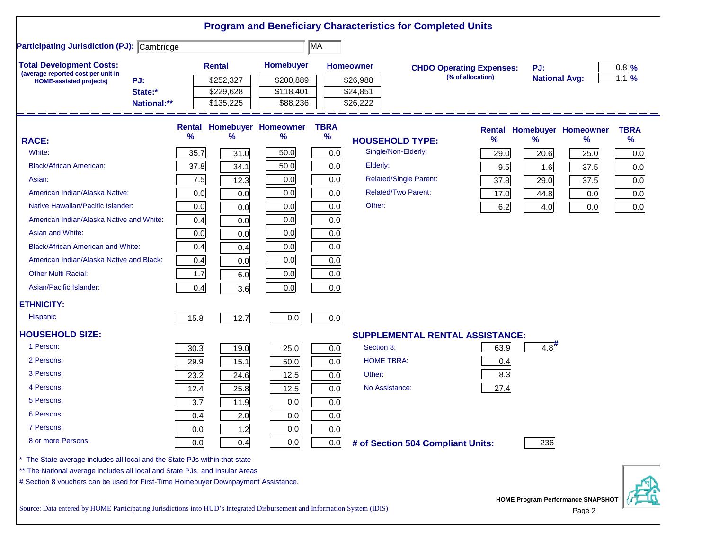|                                                                                                                           |             |               |           |                            |                  |            | <b>Program and Beneficiary Characteristics for Completed Units</b> |                   |                      |                                          |                   |
|---------------------------------------------------------------------------------------------------------------------------|-------------|---------------|-----------|----------------------------|------------------|------------|--------------------------------------------------------------------|-------------------|----------------------|------------------------------------------|-------------------|
| <b>Participating Jurisdiction (PJ): Cambridge</b>                                                                         |             |               |           |                            | MA               |            |                                                                    |                   |                      |                                          |                   |
| <b>Total Development Costs:</b>                                                                                           |             | <b>Rental</b> |           | Homebuyer                  | <b>Homeowner</b> |            | <b>CHDO Operating Expenses:</b>                                    |                   | PJ:                  |                                          | $0.8$ %           |
| (average reported cost per unit in<br>PJ:<br><b>HOME-assisted projects)</b>                                               |             |               | \$252,327 | \$200,889                  |                  | \$26,988   |                                                                    | (% of allocation) | <b>National Avg:</b> |                                          | $1.1 \frac{9}{6}$ |
| State:*                                                                                                                   |             |               | \$229,628 | \$118,401                  |                  | \$24,851   |                                                                    |                   |                      |                                          |                   |
|                                                                                                                           | National:** |               | \$135,225 | \$88,236                   |                  | \$26,222   |                                                                    |                   |                      |                                          |                   |
|                                                                                                                           |             |               |           | Rental Homebuyer Homeowner | <b>TBRA</b>      |            |                                                                    |                   |                      | <b>Rental Homebuyer Homeowner</b>        | <b>TBRA</b>       |
| <b>RACE:</b>                                                                                                              |             | %             | %         | %                          | $\%$             |            | <b>HOUSEHOLD TYPE:</b>                                             | %                 | $\%$                 | ℅                                        | $\frac{9}{6}$     |
| White:                                                                                                                    |             | 35.7          | 31.0      | 50.0                       | 0.0              |            | Single/Non-Elderly:                                                | 29.0              | 20.6                 | 25.0                                     | 0.0               |
| <b>Black/African American:</b>                                                                                            |             | 37.8          | 34.1      | 50.0                       | 0.0              | Elderly:   |                                                                    | 9.5               | 1.6                  | 37.5                                     | 0.0               |
| Asian:                                                                                                                    |             | 7.5           | 12.3      | 0.0                        | 0.0              |            | <b>Related/Single Parent:</b>                                      | 37.8              | 29.0                 | 37.5                                     | 0.0               |
| American Indian/Alaska Native:                                                                                            |             | 0.0           | 0.0       | 0.0                        | 0.0              |            | <b>Related/Two Parent:</b>                                         | 17.0              | 44.8                 | 0.0                                      | 0.0               |
| Native Hawaiian/Pacific Islander:                                                                                         |             | 0.0           | 0.0       | 0.0                        | 0.0              | Other:     |                                                                    | 6.2               | 4.0                  | 0.0                                      | 0.0               |
| American Indian/Alaska Native and White:                                                                                  |             | 0.4           | 0.0       | 0.0                        | 0.0              |            |                                                                    |                   |                      |                                          |                   |
| Asian and White:                                                                                                          |             | 0.0           | 0.0       | 0.0                        | 0.0              |            |                                                                    |                   |                      |                                          |                   |
| <b>Black/African American and White:</b>                                                                                  |             | 0.4           | 0.4       | 0.0                        | 0.0              |            |                                                                    |                   |                      |                                          |                   |
| American Indian/Alaska Native and Black:                                                                                  |             | 0.4           | 0.0       | 0.0                        | 0.0              |            |                                                                    |                   |                      |                                          |                   |
| <b>Other Multi Racial:</b>                                                                                                |             | 1.7           | 6.0       | 0.0                        | 0.0              |            |                                                                    |                   |                      |                                          |                   |
| Asian/Pacific Islander:                                                                                                   |             | 0.4           | 3.6       | 0.0                        | 0.0              |            |                                                                    |                   |                      |                                          |                   |
| <b>ETHNICITY:</b>                                                                                                         |             |               |           |                            |                  |            |                                                                    |                   |                      |                                          |                   |
| Hispanic                                                                                                                  |             | 15.8          | 12.7      | 0.0                        | 0.0              |            |                                                                    |                   |                      |                                          |                   |
| <b>HOUSEHOLD SIZE:</b>                                                                                                    |             |               |           |                            |                  |            | <b>SUPPLEMENTAL RENTAL ASSISTANCE:</b>                             |                   |                      |                                          |                   |
| 1 Person:                                                                                                                 |             | 30.3          | 19.0      | 25.0                       | 0.0              | Section 8: |                                                                    | 63.9              | 4.8                  |                                          |                   |
| 2 Persons:                                                                                                                |             | 29.9          | 15.1      | 50.0                       | 0.0              |            | <b>HOME TBRA:</b>                                                  | 0.4               |                      |                                          |                   |
| 3 Persons:                                                                                                                |             | 23.2          | 24.6      | 12.5                       | 0.0              | Other:     |                                                                    | 8.3               |                      |                                          |                   |
| 4 Persons:                                                                                                                |             | 12.4          | 25.8      | 12.5                       | 0.0              |            | No Assistance:                                                     | 27.4              |                      |                                          |                   |
| 5 Persons:                                                                                                                |             | 3.7           | 11.9      | 0.0                        | 0.0              |            |                                                                    |                   |                      |                                          |                   |
| 6 Persons:                                                                                                                |             | 0.4           | 2.0       | 0.0                        | 0.0              |            |                                                                    |                   |                      |                                          |                   |
| 7 Persons:                                                                                                                |             | 0.0           | 1.2       | 0.0                        | 0.0              |            |                                                                    |                   |                      |                                          |                   |
| 8 or more Persons:                                                                                                        |             | 0.0           | 0.4       | 0.0                        | 0.0              |            | # of Section 504 Compliant Units:                                  |                   | 236                  |                                          |                   |
| * The State average includes all local and the State PJs within that state                                                |             |               |           |                            |                  |            |                                                                    |                   |                      |                                          |                   |
| ** The National average includes all local and State PJs, and Insular Areas                                               |             |               |           |                            |                  |            |                                                                    |                   |                      |                                          |                   |
| # Section 8 vouchers can be used for First-Time Homebuyer Downpayment Assistance.                                         |             |               |           |                            |                  |            |                                                                    |                   |                      |                                          |                   |
| Source: Data entered by HOME Participating Iurisdictions into HUD's Integrated Disbursement and Information System (IDIS) |             |               |           |                            |                  |            |                                                                    |                   |                      | <b>HOME Program Performance SNAPSHOT</b> |                   |

Source: Data entered by HOME Participating Jurisdictions into HUD's Integrated Disbursement and Information System (IDIS) Page 2